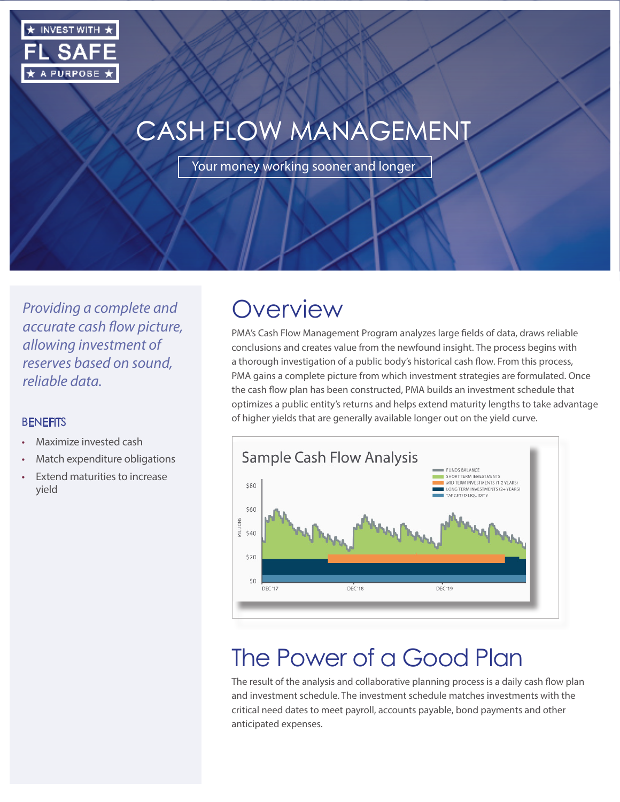

# CASH FLOW MANAGEMENT

Your money working sooner and longer

*Providing a complete and accurate cash flow picture, allowing investment of reserves based on sound, reliable data.*

#### **BENEFITS**

- Maximize invested cash
- Match expenditure obligations
- Extend maturities to increase yield

### **Overview**

PMA's Cash Flow Management Program analyzes large fields of data, draws reliable conclusions and creates value from the newfound insight. The process begins with a thorough investigation of a public body's historical cash flow. From this process, PMA gains a complete picture from which investment strategies are formulated. Once the cash flow plan has been constructed, PMA builds an investment schedule that optimizes a public entity's returns and helps extend maturity lengths to take advantage of higher yields that are generally available longer out on the yield curve.



## The Power of a Good Plan

The result of the analysis and collaborative planning process is a daily cash flow plan and investment schedule. The investment schedule matches investments with the critical need dates to meet payroll, accounts payable, bond payments and other anticipated expenses.